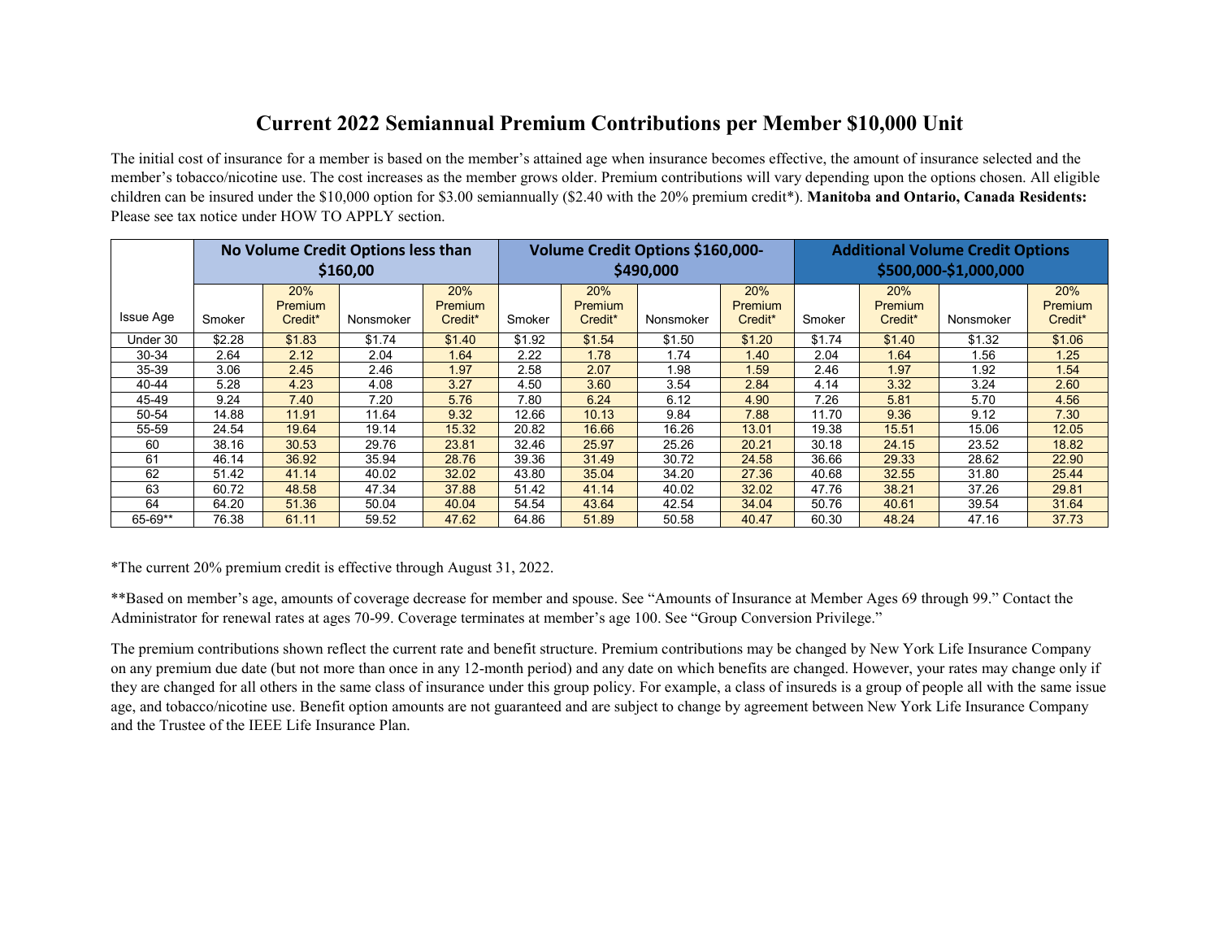### **Current 2022 Semiannual Premium Contributions per Member \$10,000 Unit**

The initial cost of insurance for a member is based on the member's attained age when insurance becomes effective, the amount of insurance selected and the member's tobacco/nicotine use. The cost increases as the member grows older. Premium contributions will vary depending upon the options chosen. All eligible children can be insured under the \$10,000 option for \$3.00 semiannually (\$2.40 with the 20% premium credit\*). **Manitoba and Ontario, Canada Residents:** Please see tax notice under HOW TO APPLY section.

|                  |        |                                  | No Volume Credit Options less than<br>\$160,00 |                                              | Volume Credit Options \$160,000-<br>\$490,000 |                                  |           |                           | <b>Additional Volume Credit Options</b><br>\$500,000-\$1,000,000 |                                  |           |                           |
|------------------|--------|----------------------------------|------------------------------------------------|----------------------------------------------|-----------------------------------------------|----------------------------------|-----------|---------------------------|------------------------------------------------------------------|----------------------------------|-----------|---------------------------|
| <b>Issue Age</b> | Smoker | 20%<br><b>Premium</b><br>Credit* | Nonsmoker                                      | 20%<br><b>Premium</b><br>Credit <sup>*</sup> | Smoker                                        | 20%<br><b>Premium</b><br>Credit* | Nonsmoker | 20%<br>Premium<br>Credit* | Smoker                                                           | 20%<br><b>Premium</b><br>Credit* | Nonsmoker | 20%<br>Premium<br>Credit* |
| Under 30         | \$2.28 | \$1.83                           | \$1.74                                         | \$1.40                                       | \$1.92                                        | \$1.54                           | \$1.50    | \$1.20                    | \$1.74                                                           | \$1.40                           | \$1.32    | \$1.06                    |
| 30-34            | 2.64   | 2.12                             | 2.04                                           | 1.64                                         | 2.22                                          | 1.78                             | 1.74      | 1.40                      | 2.04                                                             | 1.64                             | 1.56      | 1.25                      |
| 35-39            | 3.06   | 2.45                             | 2.46                                           | 1.97                                         | 2.58                                          | 2.07                             | 1.98      | 1.59                      | 2.46                                                             | 1.97                             | 1.92      | 1.54                      |
| 40-44            | 5.28   | 4.23                             | 4.08                                           | 3.27                                         | 4.50                                          | 3.60                             | 3.54      | 2.84                      | 4.14                                                             | 3.32                             | 3.24      | 2.60                      |
| 45-49            | 9.24   | 7.40                             | 7.20                                           | 5.76                                         | 7.80                                          | 6.24                             | 6.12      | 4.90                      | 7.26                                                             | 5.81                             | 5.70      | 4.56                      |
| 50-54            | 14.88  | 11.91                            | 11.64                                          | 9.32                                         | 12.66                                         | 10.13                            | 9.84      | 7.88                      | 11.70                                                            | 9.36                             | 9.12      | 7.30                      |
| 55-59            | 24.54  | 19.64                            | 19.14                                          | 15.32                                        | 20.82                                         | 16.66                            | 16.26     | 13.01                     | 19.38                                                            | 15.51                            | 15.06     | 12.05                     |
| 60               | 38.16  | 30.53                            | 29.76                                          | 23.81                                        | 32.46                                         | 25.97                            | 25.26     | 20.21                     | 30.18                                                            | 24.15                            | 23.52     | 18.82                     |
| 61               | 46.14  | 36.92                            | 35.94                                          | 28.76                                        | 39.36                                         | 31.49                            | 30.72     | 24.58                     | 36.66                                                            | 29.33                            | 28.62     | 22.90                     |
| 62               | 51.42  | 41.14                            | 40.02                                          | 32.02                                        | 43.80                                         | 35.04                            | 34.20     | 27.36                     | 40.68                                                            | 32.55                            | 31.80     | 25.44                     |
| 63               | 60.72  | 48.58                            | 47.34                                          | 37.88                                        | 51.42                                         | 41.14                            | 40.02     | 32.02                     | 47.76                                                            | 38.21                            | 37.26     | 29.81                     |
| 64               | 64.20  | 51.36                            | 50.04                                          | 40.04                                        | 54.54                                         | 43.64                            | 42.54     | 34.04                     | 50.76                                                            | 40.61                            | 39.54     | 31.64                     |
| 65-69**          | 76.38  | 61.11                            | 59.52                                          | 47.62                                        | 64.86                                         | 51.89                            | 50.58     | 40.47                     | 60.30                                                            | 48.24                            | 47.16     | 37.73                     |

\*The current 20% premium credit is effective through August 31, 2022.

\*\*Based on member's age, amounts of coverage decrease for member and spouse. See "Amounts of Insurance at Member Ages 69 through 99." Contact the Administrator for renewal rates at ages 70-99. Coverage terminates at member's age 100. See "Group Conversion Privilege."

The premium contributions shown reflect the current rate and benefit structure. Premium contributions may be changed by New York Life Insurance Company on any premium due date (but not more than once in any 12-month period) and any date on which benefits are changed. However, your rates may change only if they are changed for all others in the same class of insurance under this group policy. For example, a class of insureds is a group of people all with the same issue age, and tobacco/nicotine use. Benefit option amounts are not guaranteed and are subject to change by agreement between New York Life Insurance Company and the Trustee of the IEEE Life Insurance Plan.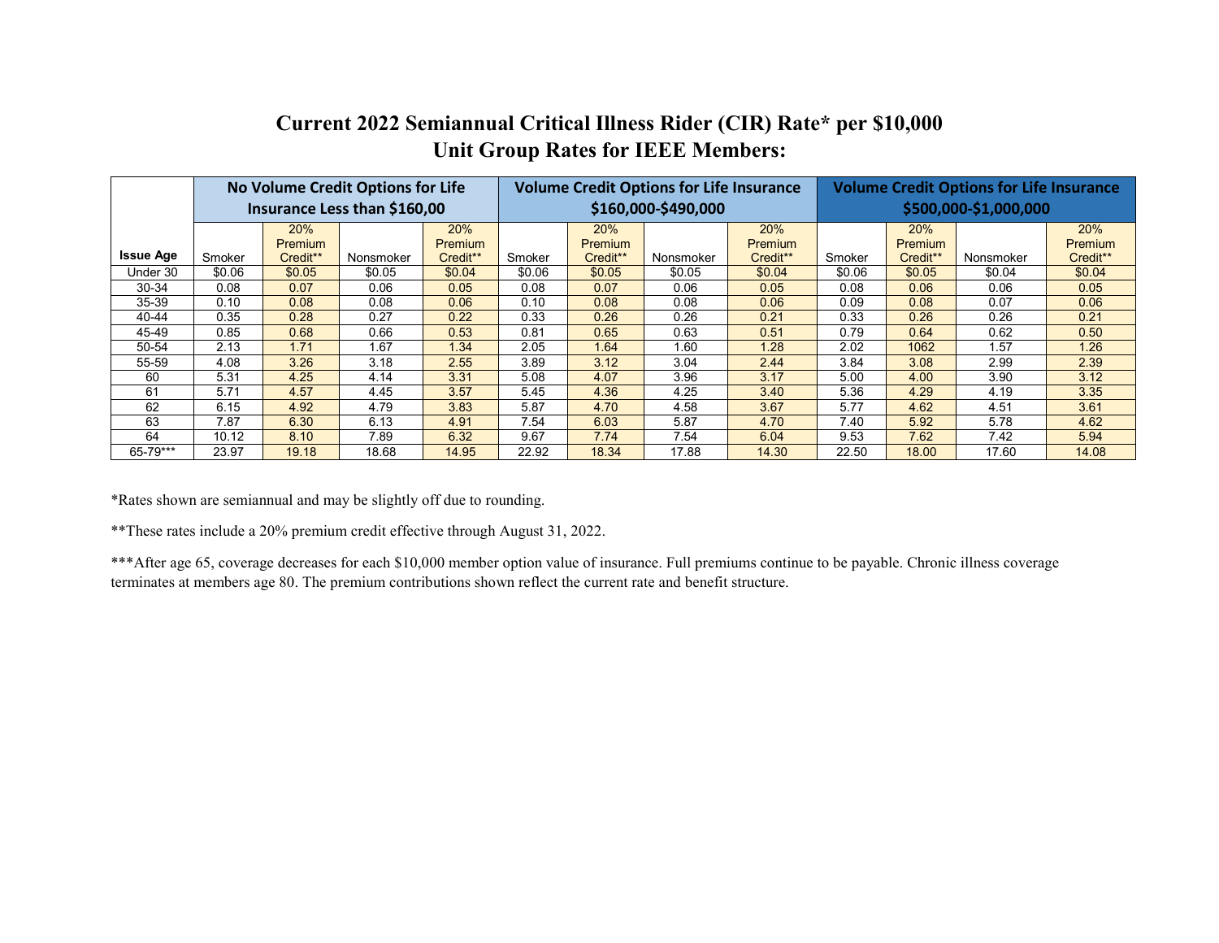## **Current 2022 Semiannual Critical Illness Rider (CIR) Rate\* per \$10,000 Unit Group Rates for IEEE Members:**

|                  |        |                | No Volume Credit Options for Life |                |        |          | <b>Volume Credit Options for Life Insurance</b> |                | <b>Volume Credit Options for Life Insurance</b> |          |           |          |
|------------------|--------|----------------|-----------------------------------|----------------|--------|----------|-------------------------------------------------|----------------|-------------------------------------------------|----------|-----------|----------|
|                  |        |                | Insurance Less than \$160,00      |                |        |          | \$160,000-\$490,000                             |                | \$500,000-\$1,000,000                           |          |           |          |
|                  |        | 20%            |                                   | 20%            |        | 20%      |                                                 | 20%            |                                                 | 20%      |           | 20%      |
|                  |        | <b>Premium</b> |                                   | <b>Premium</b> |        | Premium  |                                                 | <b>Premium</b> |                                                 | Premium  |           | Premium  |
| <b>Issue Age</b> | Smoker | Credit**       | Nonsmoker                         | Credit**       | Smoker | Credit** | Nonsmoker                                       | Credit**       | Smoker                                          | Credit** | Nonsmoker | Credit** |
| Under 30         | \$0.06 | \$0.05         | \$0.05                            | \$0.04         | \$0.06 | \$0.05   | \$0.05                                          | \$0.04         | \$0.06                                          | \$0.05   | \$0.04    | \$0.04   |
| 30-34            | 0.08   | 0.07           | 0.06                              | 0.05           | 0.08   | 0.07     | 0.06                                            | 0.05           | 0.08                                            | 0.06     | 0.06      | 0.05     |
| 35-39            | 0.10   | 0.08           | 0.08                              | 0.06           | 0.10   | 0.08     | 0.08                                            | 0.06           | 0.09                                            | 0.08     | 0.07      | 0.06     |
| 40-44            | 0.35   | 0.28           | 0.27                              | 0.22           | 0.33   | 0.26     | 0.26                                            | 0.21           | 0.33                                            | 0.26     | 0.26      | 0.21     |
| 45-49            | 0.85   | 0.68           | 0.66                              | 0.53           | 0.81   | 0.65     | 0.63                                            | 0.51           | 0.79                                            | 0.64     | 0.62      | 0.50     |
| 50-54            | 2.13   | 1.71           | 1.67                              | 1.34           | 2.05   | 1.64     | 1.60                                            | 1.28           | 2.02                                            | 1062     | 1.57      | 1.26     |
| 55-59            | 4.08   | 3.26           | 3.18                              | 2.55           | 3.89   | 3.12     | 3.04                                            | 2.44           | 3.84                                            | 3.08     | 2.99      | 2.39     |
| 60               | 5.31   | 4.25           | 4.14                              | 3.31           | 5.08   | 4.07     | 3.96                                            | 3.17           | 5.00                                            | 4.00     | 3.90      | 3.12     |
| 61               | 5.71   | 4.57           | 4.45                              | 3.57           | 5.45   | 4.36     | 4.25                                            | 3.40           | 5.36                                            | 4.29     | 4.19      | 3.35     |
| 62               | 6.15   | 4.92           | 4.79                              | 3.83           | 5.87   | 4.70     | 4.58                                            | 3.67           | 5.77                                            | 4.62     | 4.51      | 3.61     |
| 63               | 7.87   | 6.30           | 6.13                              | 4.91           | 7.54   | 6.03     | 5.87                                            | 4.70           | 7.40                                            | 5.92     | 5.78      | 4.62     |
| 64               | 10.12  | 8.10           | 7.89                              | 6.32           | 9.67   | 7.74     | 7.54                                            | 6.04           | 9.53                                            | 7.62     | 7.42      | 5.94     |
| 65-79***         | 23.97  | 19.18          | 18.68                             | 14.95          | 22.92  | 18.34    | 17.88                                           | 14.30          | 22.50                                           | 18.00    | 17.60     | 14.08    |

\*Rates shown are semiannual and may be slightly off due to rounding.

\*\*These rates include a 20% premium credit effective through August 31, 2022.

\*\*\*After age 65, coverage decreases for each \$10,000 member option value of insurance. Full premiums continue to be payable. Chronic illness coverage terminates at members age 80. The premium contributions shown reflect the current rate and benefit structure.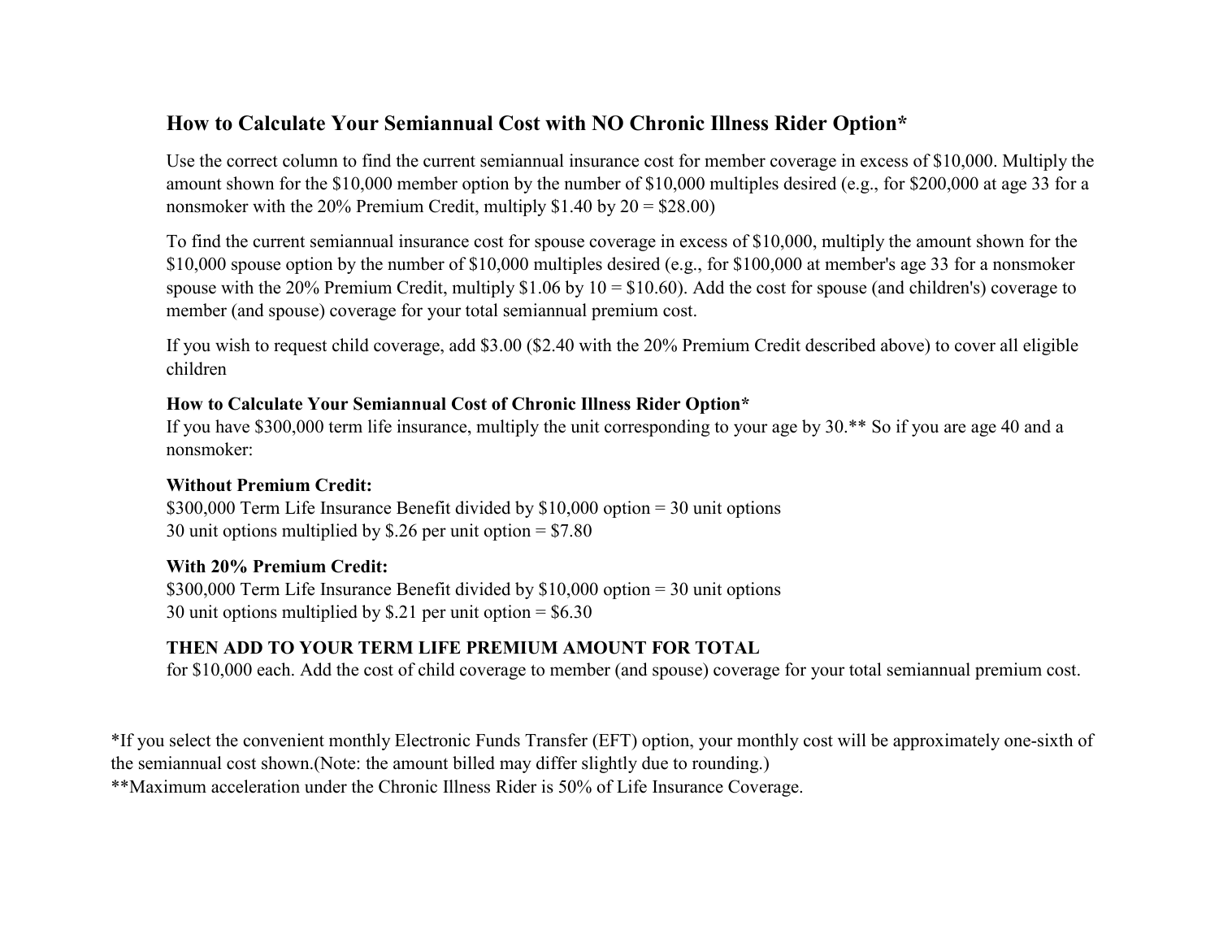### **How to Calculate Your Semiannual Cost with NO Chronic Illness Rider Option\***

Use the correct column to find the current semiannual insurance cost for member coverage in excess of \$10,000. Multiply the amount shown for the \$10,000 member option by the number of \$10,000 multiples desired (e.g., for \$200,000 at age 33 for a nonsmoker with the 20% Premium Credit, multiply  $$1.40$  by  $20 = $28.00$ )

To find the current semiannual insurance cost for spouse coverage in excess of \$10,000, multiply the amount shown for the \$10,000 spouse option by the number of \$10,000 multiples desired (e.g., for \$100,000 at member's age 33 for a nonsmoker spouse with the 20% Premium Credit, multiply  $$1.06$  by  $10 = $10.60$ ). Add the cost for spouse (and children's) coverage to member (and spouse) coverage for your total semiannual premium cost.

If you wish to request child coverage, add \$3.00 (\$2.40 with the 20% Premium Credit described above) to cover all eligible children

#### **How to Calculate Your Semiannual Cost of Chronic Illness Rider Option\***

If you have \$300,000 term life insurance, multiply the unit corresponding to your age by 30.\*\* So if you are age 40 and a nonsmoker:

#### **Without Premium Credit:**

\$300,000 Term Life Insurance Benefit divided by \$10,000 option = 30 unit options 30 unit options multiplied by \$.26 per unit option = \$7.80

#### **With 20% Premium Credit:**

\$300,000 Term Life Insurance Benefit divided by \$10,000 option = 30 unit options 30 unit options multiplied by \$.21 per unit option = \$6.30

### **THEN ADD TO YOUR TERM LIFE PREMIUM AMOUNT FOR TOTAL**

for \$10,000 each. Add the cost of child coverage to member (and spouse) coverage for your total semiannual premium cost.

\*If you select the convenient monthly Electronic Funds Transfer (EFT) option, your monthly cost will be approximately one-sixth of the semiannual cost shown.(Note: the amount billed may differ slightly due to rounding.)

\*\*Maximum acceleration under the Chronic Illness Rider is 50% of Life Insurance Coverage.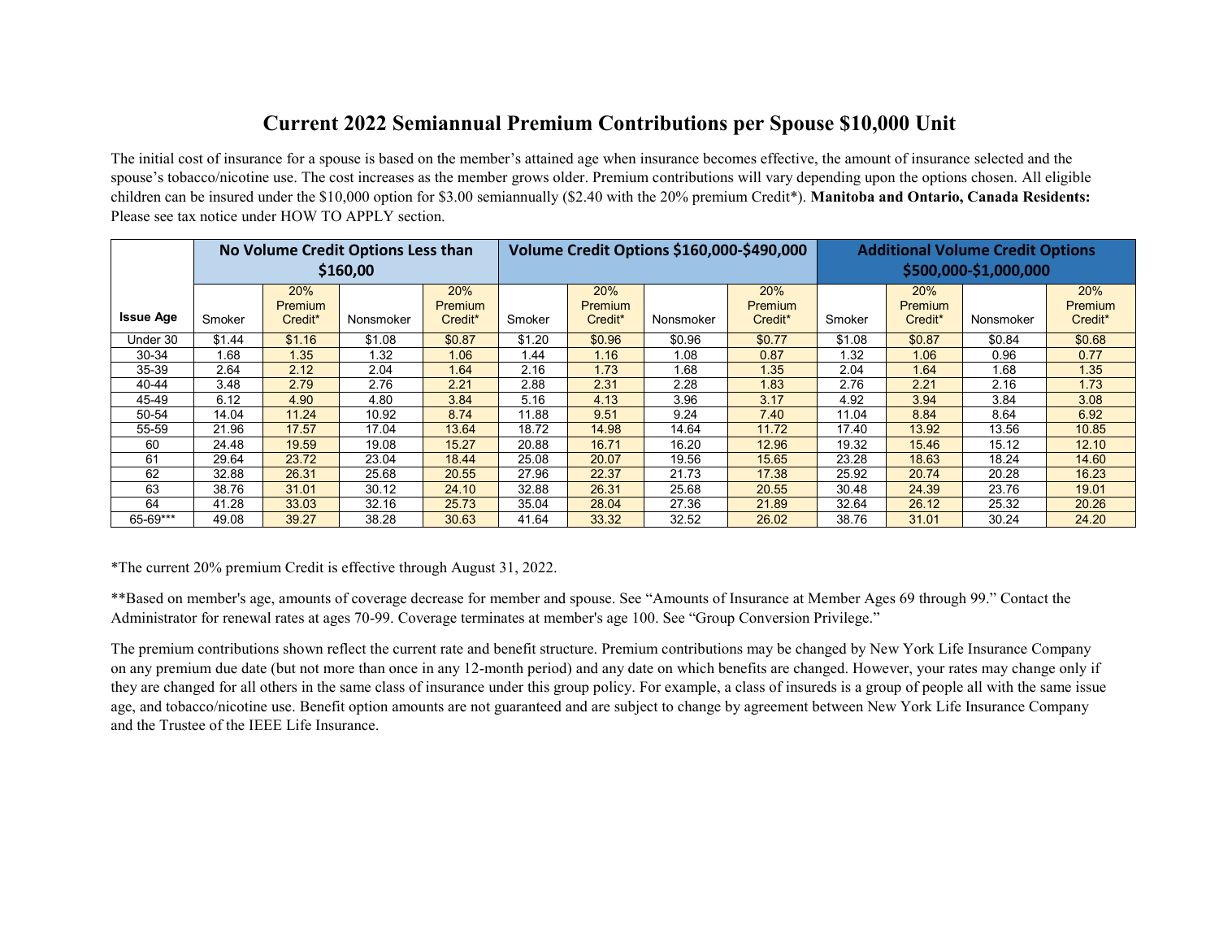### **Current 2022 Semiannual Premium Contributions per Spouse \$10,000 Unit**

The initial cost of insurance for a spouse is based on the member's attained age when insurance becomes effective, the amount of insurance selected and the spouse's tobacco/nicotine use. The cost increases as the member grows older. Premium contributions will vary depending upon the options chosen. All eligible children can be insured under the \$10,000 option for \$3.00 semiannually (\$2.40 with the 20% premium Credit\*). **Manitoba and Ontario, Canada Residents:** Please see tax notice under HOW TO APPLY section.

|                  |        |                                  | No Volume Credit Options Less than<br>\$160,00 |                           |        |                                  |           | Volume Credit Options \$160,000-\$490,000    | <b>Additional Volume Credit Options</b><br>\$500,000-\$1,000,000 |                                       |           |                                       |
|------------------|--------|----------------------------------|------------------------------------------------|---------------------------|--------|----------------------------------|-----------|----------------------------------------------|------------------------------------------------------------------|---------------------------------------|-----------|---------------------------------------|
| <b>Issue Age</b> | Smoker | 20%<br><b>Premium</b><br>Credit* | Nonsmoker                                      | 20%<br>Premium<br>Credit* | Smoker | 20%<br><b>Premium</b><br>Credit* | Nonsmoker | 20%<br><b>Premium</b><br>Credit <sup>*</sup> | Smoker                                                           | 20%<br>Premium<br>Credit <sup>*</sup> | Nonsmoker | 20%<br>Premium<br>Credit <sup>*</sup> |
| Under 30         | \$1.44 | \$1.16                           | \$1.08                                         | \$0.87                    | \$1.20 | \$0.96                           | \$0.96    | \$0.77                                       | \$1.08                                                           | \$0.87                                | \$0.84    | \$0.68                                |
| 30-34            | 1.68   | 1.35                             | 1.32                                           | 1.06                      | 1.44   | 1.16                             | 1.08      | 0.87                                         | 1.32                                                             | 1.06                                  | 0.96      | 0.77                                  |
| 35-39            | 2.64   | 2.12                             | 2.04                                           | 1.64                      | 2.16   | 1.73                             | .68       | 1.35                                         | 2.04                                                             | 1.64                                  | 1.68      | 1.35                                  |
| 40-44            | 3.48   | 2.79                             | 2.76                                           | 2.21                      | 2.88   | 2.31                             | 2.28      | 1.83                                         | 2.76                                                             | 2.21                                  | 2.16      | 1.73                                  |
| 45-49            | 6.12   | 4.90                             | 4.80                                           | 3.84                      | 5.16   | 4.13                             | 3.96      | 3.17                                         | 4.92                                                             | 3.94                                  | 3.84      | 3.08                                  |
| 50-54            | 14.04  | 11.24                            | 10.92                                          | 8.74                      | 11.88  | 9.51                             | 9.24      | 7.40                                         | 11.04                                                            | 8.84                                  | 8.64      | 6.92                                  |
| 55-59            | 21.96  | 17.57                            | 17.04                                          | 13.64                     | 18.72  | 14.98                            | 14.64     | 11.72                                        | 17.40                                                            | 13.92                                 | 13.56     | 10.85                                 |
| 60               | 24.48  | 19.59                            | 19.08                                          | 15.27                     | 20.88  | 16.71                            | 16.20     | 12.96                                        | 19.32                                                            | 15.46                                 | 15.12     | 12.10                                 |
| 61               | 29.64  | 23.72                            | 23.04                                          | 18.44                     | 25.08  | 20.07                            | 19.56     | 15.65                                        | 23.28                                                            | 18.63                                 | 18.24     | 14.60                                 |
| 62               | 32.88  | 26.31                            | 25.68                                          | 20.55                     | 27.96  | 22.37                            | 21.73     | 17.38                                        | 25.92                                                            | 20.74                                 | 20.28     | 16.23                                 |
| 63               | 38.76  | 31.01                            | 30.12                                          | 24.10                     | 32.88  | 26.31                            | 25.68     | 20.55                                        | 30.48                                                            | 24.39                                 | 23.76     | 19.01                                 |
| 64               | 41.28  | 33.03                            | 32.16                                          | 25.73                     | 35.04  | 28.04                            | 27.36     | 21.89                                        | 32.64                                                            | 26.12                                 | 25.32     | 20.26                                 |
| 65-69***         | 49.08  | 39.27                            | 38.28                                          | 30.63                     | 41.64  | 33.32                            | 32.52     | 26.02                                        | 38.76                                                            | 31.01                                 | 30.24     | 24.20                                 |

\*The current 20% premium Credit is effective through August 31, 2022.

\*\*Based on member's age, amounts of coverage decrease for member and spouse. See "Amounts of Insurance at Member Ages 69 through 99." Contact the Administrator for renewal rates at ages 70-99. Coverage terminates at member's age 100. See "Group Conversion Privilege."

The premium contributions shown reflect the current rate and benefit structure. Premium contributions may be changed by New York Life Insurance Company on any premium due date (but not more than once in any 12-month period) and any date on which benefits are changed. However, your rates may change only if they are changed for all others in the same class of insurance under this group policy. For example, a class of insureds is a group of people all with the same issue age, and tobacco/nicotine use. Benefit option amounts are not guaranteed and are subject to change by agreement between New York Life Insurance Company and the Trustee of the IEEE Life Insurance.